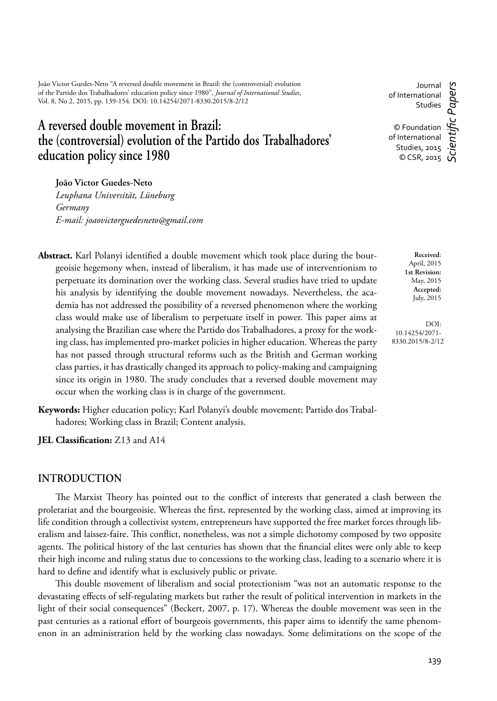João Victor Guedes-Neto "A reversed double movement in Brazil: the (controversial) evolution of the Partido dos Trabalhadores' education policy since 1980", *Journal of International Studies*, Vol. 8, No 2, 2015, pp. 139-154. DOI: 10.14254/2071-8330.2015/8-2/12

# **A reversed double movement in Brazil: the (controversial) evolution of the Partido dos Trabalhadores' education policy since 1980**

Journal of International Studies

© Foundation of International Studies, 2015  $\circ$  CSR, 2015 *Scientifi c Papers*

**João Victor Guedes-Neto**

*Leuphana Universität, Lüneburg Germany E-mail: joaovictorguedesneto@gmail.com*

- Abstract. Karl Polanyi identified a double movement which took place during the bourgeoisie hegemony when, instead of liberalism, it has made use of interventionism to perpetuate its domination over the working class. Several studies have tried to update his analysis by identifying the double movement nowadays. Nevertheless, the academia has not addressed the possibility of a reversed phenomenon where the working class would make use of liberalism to perpetuate itself in power. This paper aims at analysing the Brazilian case where the Partido dos Trabalhadores, a proxy for the working class, has implemented pro-market policies in higher education. Whereas the party has not passed through structural reforms such as the British and German working class parties, it has drastically changed its approach to policy-making and campaigning since its origin in 1980. The study concludes that a reversed double movement may occur when the working class is in charge of the government.
- **Keywords:** Higher education policy; Karl Polanyi's double movement; Partido dos Trabalhadores; Working class in Brazil; Content analysis.

**JEL Classification:** Z13 and A14

# **INTRODUCTION**

The Marxist Theory has pointed out to the conflict of interests that generated a clash between the proletariat and the bourgeoisie. Whereas the first, represented by the working class, aimed at improving its life condition through a collectivist system, entrepreneurs have supported the free market forces through liberalism and laissez-faire. This conflict, nonetheless, was not a simple dichotomy composed by two opposite agents. The political history of the last centuries has shown that the financial elites were only able to keep their high income and ruling status due to concessions to the working class, leading to a scenario where it is hard to define and identify what is exclusively public or private.

This double movement of liberalism and social protectionism "was not an automatic response to the devastating effects of self-regulating markets but rather the result of political intervention in markets in the light of their social consequences" (Beckert, 2007, p. 17). Whereas the double movement was seen in the past centuries as a rational effort of bourgeois governments, this paper aims to identify the same phenomenon in an administration held by the working class nowadays. Some delimitations on the scope of the

DOI: 10.14254/2071- 8330.2015/8-2/12

**Received**: April, 2015 **1st Revision:** May, 2015 **Accepted:** July, 2015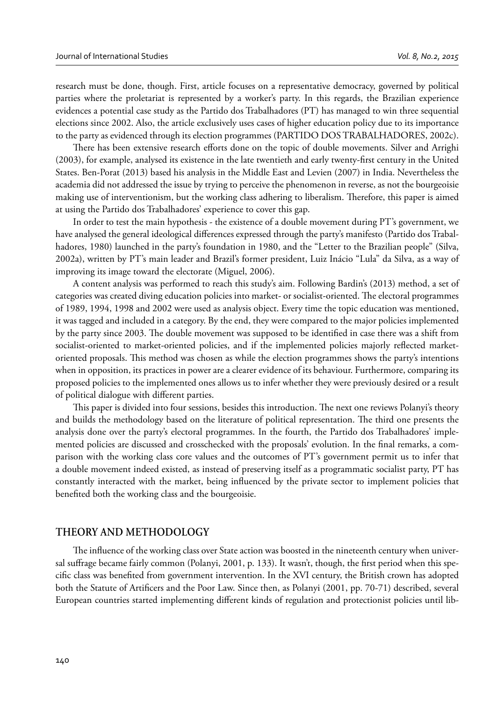research must be done, though. First, article focuses on a representative democracy, governed by political parties where the proletariat is represented by a worker's party. In this regards, the Brazilian experience evidences a potential case study as the Partido dos Trabalhadores (PT) has managed to win three sequential elections since 2002. Also, the article exclusively uses cases of higher education policy due to its importance to the party as evidenced through its election programmes (PARTIDO DOS TRABALHADORES, 2002c).

There has been extensive research efforts done on the topic of double movements. Silver and Arrighi (2003), for example, analysed its existence in the late twentieth and early twenty-first century in the United States. Ben-Porat (2013) based his analysis in the Middle East and Levien (2007) in India. Nevertheless the academia did not addressed the issue by trying to perceive the phenomenon in reverse, as not the bourgeoisie making use of interventionism, but the working class adhering to liberalism. Therefore, this paper is aimed at using the Partido dos Trabalhadores' experience to cover this gap.

In order to test the main hypothesis - the existence of a double movement during PT's government, we have analysed the general ideological differences expressed through the party's manifesto (Partido dos Trabalhadores, 1980) launched in the party's foundation in 1980, and the "Letter to the Brazilian people" (Silva, 2002a), written by PT's main leader and Brazil's former president, Luiz Inácio "Lula" da Silva, as a way of improving its image toward the electorate (Miguel, 2006).

A content analysis was performed to reach this study's aim. Following Bardin's (2013) method, a set of categories was created diving education policies into market- or socialist-oriented. The electoral programmes of 1989, 1994, 1998 and 2002 were used as analysis object. Every time the topic education was mentioned, it was tagged and included in a category. By the end, they were compared to the major policies implemented by the party since 2003. The double movement was supposed to be identified in case there was a shift from socialist-oriented to market-oriented policies, and if the implemented policies majorly reflected marketoriented proposals. This method was chosen as while the election programmes shows the party's intentions when in opposition, its practices in power are a clearer evidence of its behaviour. Furthermore, comparing its proposed policies to the implemented ones allows us to infer whether they were previously desired or a result of political dialogue with different parties.

This paper is divided into four sessions, besides this introduction. The next one reviews Polanyi's theory and builds the methodology based on the literature of political representation. The third one presents the analysis done over the party's electoral programmes. In the fourth, the Partido dos Trabalhadores' implemented policies are discussed and crosschecked with the proposals' evolution. In the final remarks, a comparison with the working class core values and the outcomes of PT's government permit us to infer that a double movement indeed existed, as instead of preserving itself as a programmatic socialist party, PT has constantly interacted with the market, being influenced by the private sector to implement policies that benefited both the working class and the bourgeoisie.

# **THEORY AND METHODOLOGY**

The influence of the working class over State action was boosted in the nineteenth century when universal suffrage became fairly common (Polanyi, 2001, p. 133). It wasn't, though, the first period when this specific class was benefited from government intervention. In the XVI century, the British crown has adopted both the Statute of Artificers and the Poor Law. Since then, as Polanyi (2001, pp. 70-71) described, several European countries started implementing different kinds of regulation and protectionist policies until lib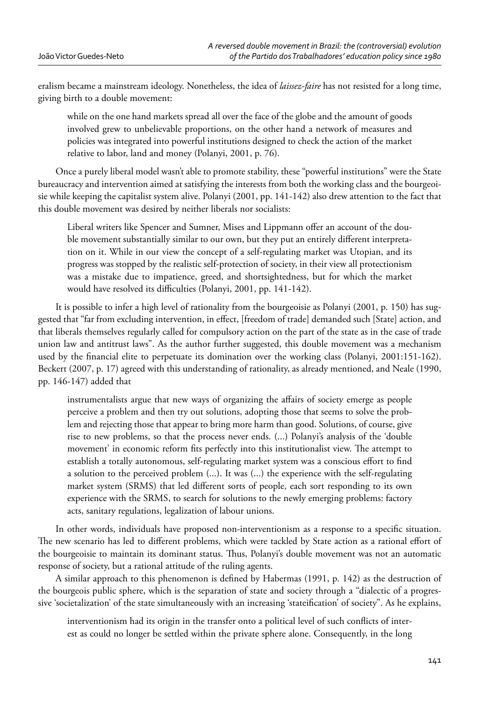eralism became a mainstream ideology. Nonetheless, the idea of *laissez-faire* has not resisted for a long time, giving birth to a double movement:

while on the one hand markets spread all over the face of the globe and the amount of goods involved grew to unbelievable proportions, on the other hand a network of measures and policies was integrated into powerful institutions designed to check the action of the market relative to labor, land and money (Polanyi, 2001, p. 76).

Once a purely liberal model wasn't able to promote stability, these "powerful institutions" were the State bureaucracy and intervention aimed at satisfying the interests from both the working class and the bourgeoisie while keeping the capitalist system alive. Polanyi (2001, pp. 141-142) also drew attention to the fact that this double movement was desired by neither liberals nor socialists:

Liberal writers like Spencer and Sumner, Mises and Lippmann offer an account of the double movement substantially similar to our own, but they put an entirely different interpretation on it. While in our view the concept of a self-regulating market was Utopian, and its progress was stopped by the realistic self-protection of society, in their view all protectionism was a mistake due to impatience, greed, and shortsightedness, but for which the market would have resolved its difficulties (Polanyi, 2001, pp. 141-142).

It is possible to infer a high level of rationality from the bourgeoisie as Polanyi (2001, p. 150) has suggested that "far from excluding intervention, in effect, [freedom of trade] demanded such [State] action, and that liberals themselves regularly called for compulsory action on the part of the state as in the case of trade union law and antitrust laws". As the author further suggested, this double movement was a mechanism used by the financial elite to perpetuate its domination over the working class (Polanyi, 2001:151-162). Beckert (2007, p. 17) agreed with this understanding of rationality, as already mentioned, and Neale (1990, pp. 146-147) added that

instrumentalists argue that new ways of organizing the affairs of society emerge as people perceive a problem and then try out solutions, adopting those that seems to solve the problem and rejecting those that appear to bring more harm than good. Solutions, of course, give rise to new problems, so that the process never ends. (...) Polanyi's analysis of the 'double movement' in economic reform fits perfectly into this institutionalist view. The attempt to establish a totally autonomous, self-regulating market system was a conscious effort to find a solution to the perceived problem (...). It was (...) the experience with the self-regulating market system (SRMS) that led different sorts of people, each sort responding to its own experience with the SRMS, to search for solutions to the newly emerging problems: factory acts, sanitary regulations, legalization of labour unions.

In other words, individuals have proposed non-interventionism as a response to a specific situation. The new scenario has led to different problems, which were tackled by State action as a rational effort of the bourgeoisie to maintain its dominant status. Thus, Polanyi's double movement was not an automatic response of society, but a rational attitude of the ruling agents.

A similar approach to this phenomenon is defined by Habermas (1991, p. 142) as the destruction of the bourgeois public sphere, which is the separation of state and society through a "dialectic of a progressive 'societalization' of the state simultaneously with an increasing 'stateification' of society". As he explains,

interventionism had its origin in the transfer onto a political level of such conflicts of interest as could no longer be settled within the private sphere alone. Consequently, in the long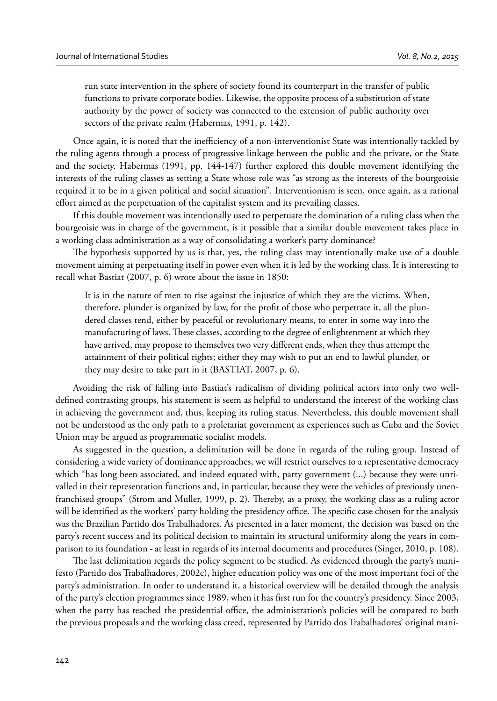run state intervention in the sphere of society found its counterpart in the transfer of public functions to private corporate bodies. Likewise, the opposite process of a substitution of state authority by the power of society was connected to the extension of public authority over sectors of the private realm (Habermas, 1991, p. 142).

Once again, it is noted that the inefficiency of a non-interventionist State was intentionally tackled by the ruling agents through a process of progressive linkage between the public and the private, or the State and the society. Habermas (1991, pp. 144-147) further explored this double movement identifying the interests of the ruling classes as setting a State whose role was "as strong as the interests of the bourgeoisie required it to be in a given political and social situation". Interventionism is seen, once again, as a rational effort aimed at the perpetuation of the capitalist system and its prevailing classes.

If this double movement was intentionally used to perpetuate the domination of a ruling class when the bourgeoisie was in charge of the government, is it possible that a similar double movement takes place in a working class administration as a way of consolidating a worker's party dominance?

The hypothesis supported by us is that, yes, the ruling class may intentionally make use of a double movement aiming at perpetuating itself in power even when it is led by the working class. It is interesting to recall what Bastiat (2007, p. 6) wrote about the issue in 1850:

It is in the nature of men to rise against the injustice of which they are the victims. When, therefore, plunder is organized by law, for the profit of those who perpetrate it, all the plundered classes tend, either by peaceful or revolutionary means, to enter in some way into the manufacturing of laws. These classes, according to the degree of enlightenment at which they have arrived, may propose to themselves two very different ends, when they thus attempt the attainment of their political rights; either they may wish to put an end to lawful plunder, or they may desire to take part in it (BASTIAT, 2007, p. 6).

Avoiding the risk of falling into Bastiat's radicalism of dividing political actors into only two welldefined contrasting groups, his statement is seem as helpful to understand the interest of the working class in achieving the government and, thus, keeping its ruling status. Nevertheless, this double movement shall not be understood as the only path to a proletariat government as experiences such as Cuba and the Soviet Union may be argued as programmatic socialist models.

As suggested in the question, a delimitation will be done in regards of the ruling group. Instead of considering a wide variety of dominance approaches, we will restrict ourselves to a representative democracy which "has long been associated, and indeed equated with, party government (...) because they were unrivalled in their representation functions and, in particular, because they were the vehicles of previously unenfranchised groups" (Strom and Muller, 1999, p. 2). Thereby, as a proxy, the working class as a ruling actor will be identified as the workers' party holding the presidency office. The specific case chosen for the analysis was the Brazilian Partido dos Trabalhadores. As presented in a later moment, the decision was based on the party's recent success and its political decision to maintain its structural uniformity along the years in comparison to its foundation - at least in regards of its internal documents and procedures (Singer, 2010, p. 108).

The last delimitation regards the policy segment to be studied. As evidenced through the party's manifesto (Partido dos Trabalhadores, 2002c), higher education policy was one of the most important foci of the party's administration. In order to understand it, a historical overview will be detailed through the analysis of the party's election programmes since 1989, when it has first run for the country's presidency. Since 2003, when the party has reached the presidential office, the administration's policies will be compared to both the previous proposals and the working class creed, represented by Partido dos Trabalhadores' original mani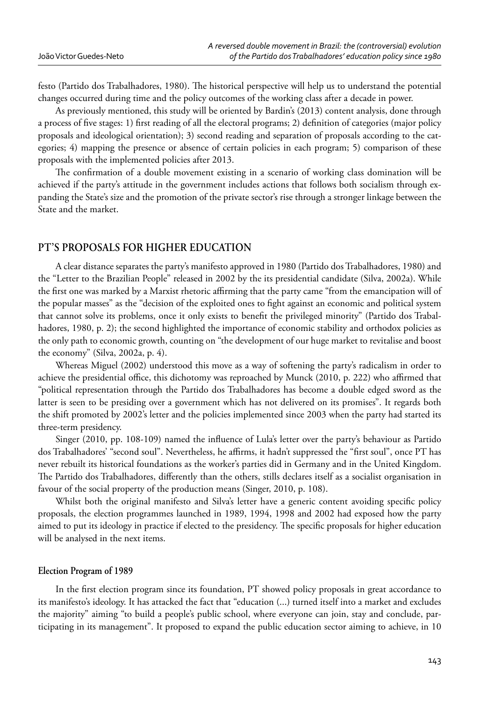festo (Partido dos Trabalhadores, 1980). The historical perspective will help us to understand the potential changes occurred during time and the policy outcomes of the working class after a decade in power.

As previously mentioned, this study will be oriented by Bardin's (2013) content analysis, done through a process of five stages: 1) first reading of all the electoral programs; 2) definition of categories (major policy proposals and ideological orientation); 3) second reading and separation of proposals according to the categories; 4) mapping the presence or absence of certain policies in each program; 5) comparison of these proposals with the implemented policies after 2013.

The confirmation of a double movement existing in a scenario of working class domination will be achieved if the party's attitude in the government includes actions that follows both socialism through expanding the State's size and the promotion of the private sector's rise through a stronger linkage between the State and the market.

# **PT'S PROPOSALS FOR HIGHER EDUCATION**

A clear distance separates the party's manifesto approved in 1980 (Partido dos Trabalhadores, 1980) and the "Letter to the Brazilian People" released in 2002 by the its presidential candidate (Silva, 2002a). While the first one was marked by a Marxist rhetoric affirming that the party came "from the emancipation will of the popular masses" as the "decision of the exploited ones to fight against an economic and political system that cannot solve its problems, once it only exists to benefit the privileged minority" (Partido dos Trabalhadores, 1980, p. 2); the second highlighted the importance of economic stability and orthodox policies as the only path to economic growth, counting on "the development of our huge market to revitalise and boost the economy" (Silva, 2002a, p. 4).

Whereas Miguel (2002) understood this move as a way of softening the party's radicalism in order to achieve the presidential office, this dichotomy was reproached by Munck (2010, p. 222) who affirmed that "political representation through the Partido dos Trabalhadores has become a double edged sword as the latter is seen to be presiding over a government which has not delivered on its promises". It regards both the shift promoted by 2002's letter and the policies implemented since 2003 when the party had started its three-term presidency.

Singer (2010, pp. 108-109) named the influence of Lula's letter over the party's behaviour as Partido dos Trabalhadores' "second soul". Nevertheless, he affirms, it hadn't suppressed the "first soul", once PT has never rebuilt its historical foundations as the worker's parties did in Germany and in the United Kingdom. The Partido dos Trabalhadores, differently than the others, stills declares itself as a socialist organisation in favour of the social property of the production means (Singer, 2010, p. 108).

Whilst both the original manifesto and Silva's letter have a generic content avoiding specific policy proposals, the election programmes launched in 1989, 1994, 1998 and 2002 had exposed how the party aimed to put its ideology in practice if elected to the presidency. The specific proposals for higher education will be analysed in the next items.

#### **Election Program of 1989**

In the first election program since its foundation, PT showed policy proposals in great accordance to its manifesto's ideology. It has attacked the fact that "education (...) turned itself into a market and excludes the majority" aiming "to build a people's public school, where everyone can join, stay and conclude, participating in its management". It proposed to expand the public education sector aiming to achieve, in 10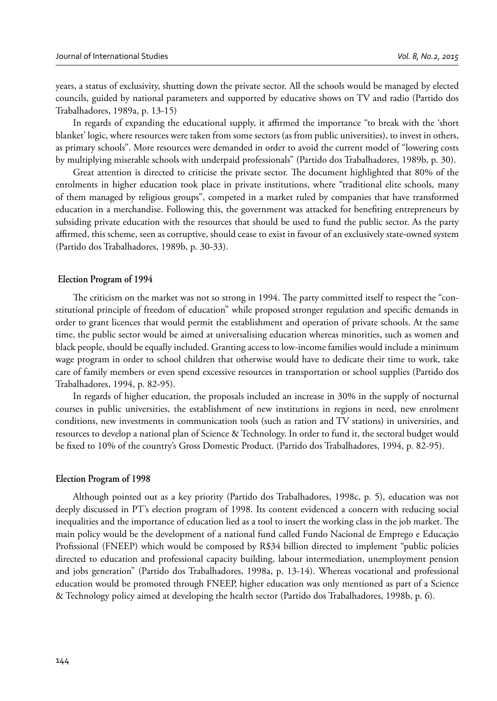years, a status of exclusivity, shutting down the private sector. All the schools would be managed by elected councils, guided by national parameters and supported by educative shows on TV and radio (Partido dos Trabalhadores, 1989a, p. 13-15)

In regards of expanding the educational supply, it affirmed the importance "to break with the 'short' blanket' logic, where resources were taken from some sectors (as from public universities), to invest in others, as primary schools". More resources were demanded in order to avoid the current model of "lowering costs by multiplying miserable schools with underpaid professionals" (Partido dos Trabalhadores, 1989b, p. 30).

Great attention is directed to criticise the private sector. The document highlighted that 80% of the enrolments in higher education took place in private institutions, where "traditional elite schools, many of them managed by religious groups", competed in a market ruled by companies that have transformed education in a merchandise. Following this, the government was attacked for benefiting entrepreneurs by subsiding private education with the resources that should be used to fund the public sector. As the party affirmed, this scheme, seen as corruptive, should cease to exist in favour of an exclusively state-owned system (Partido dos Trabalhadores, 1989b, p. 30-33).

# **Election Program of 1994**

The criticism on the market was not so strong in 1994. The party committed itself to respect the "constitutional principle of freedom of education" while proposed stronger regulation and specifi c demands in order to grant licences that would permit the establishment and operation of private schools. At the same time, the public sector would be aimed at universalising education whereas minorities, such as women and black people, should be equally included. Granting access to low-income families would include a minimum wage program in order to school children that otherwise would have to dedicate their time to work, take care of family members or even spend excessive resources in transportation or school supplies (Partido dos Trabalhadores, 1994, p. 82-95).

In regards of higher education, the proposals included an increase in 30% in the supply of nocturnal courses in public universities, the establishment of new institutions in regions in need, new enrolment conditions, new investments in communication tools (such as ration and TV stations) in universities, and resources to develop a national plan of Science & Technology. In order to fund it, the sectoral budget would be fixed to 10% of the country's Gross Domestic Product. (Partido dos Trabalhadores, 1994, p. 82-95).

#### **Election Program of 1998**

Although pointed out as a key priority (Partido dos Trabalhadores, 1998c, p. 5), education was not deeply discussed in PT's election program of 1998. Its content evidenced a concern with reducing social inequalities and the importance of education lied as a tool to insert the working class in the job market. The main policy would be the development of a national fund called Fundo Nacional de Emprego e Educação Profissional (FNEEP) which would be composed by R\$34 billion directed to implement "public policies directed to education and professional capacity building, labour intermediation, unemployment pension and jobs generation" (Partido dos Trabalhadores, 1998a, p. 13-14). Whereas vocational and professional education would be promoted through FNEEP, higher education was only mentioned as part of a Science & Technology policy aimed at developing the health sector (Partido dos Trabalhadores, 1998b, p. 6).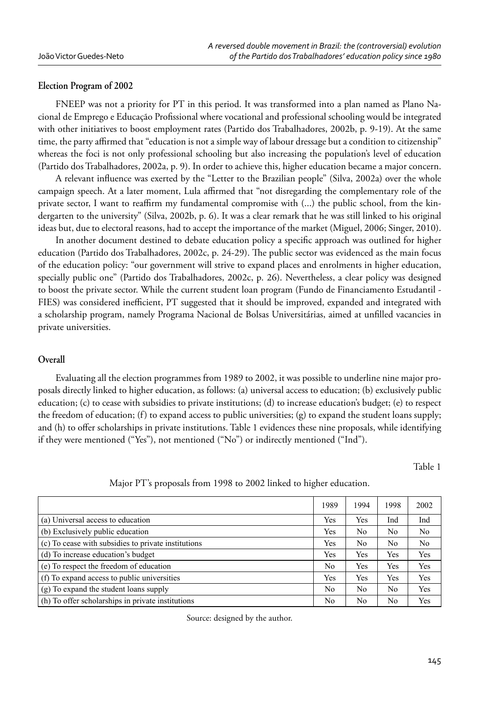#### **Election Program of 2002**

FNEEP was not a priority for PT in this period. It was transformed into a plan named as Plano Nacional de Emprego e Educação Profissional where vocational and professional schooling would be integrated with other initiatives to boost employment rates (Partido dos Trabalhadores, 2002b, p. 9-19). At the same time, the party affirmed that "education is not a simple way of labour dressage but a condition to citizenship" whereas the foci is not only professional schooling but also increasing the population's level of education (Partido dos Trabalhadores, 2002a, p. 9). In order to achieve this, higher education became a major concern.

A relevant influence was exerted by the "Letter to the Brazilian people" (Silva, 2002a) over the whole campaign speech. At a later moment, Lula affirmed that "not disregarding the complementary role of the private sector, I want to reaffirm my fundamental compromise with  $(...)$  the public school, from the kindergarten to the university" (Silva, 2002b, p. 6). It was a clear remark that he was still linked to his original ideas but, due to electoral reasons, had to accept the importance of the market (Miguel, 2006; Singer, 2010).

In another document destined to debate education policy a specific approach was outlined for higher education (Partido dos Trabalhadores, 2002c, p. 24-29). The public sector was evidenced as the main focus of the education policy: "our government will strive to expand places and enrolments in higher education, specially public one" (Partido dos Trabalhadores, 2002c, p. 26). Nevertheless, a clear policy was designed to boost the private sector. While the current student loan program (Fundo de Financiamento Estudantil - FIES) was considered inefficient, PT suggested that it should be improved, expanded and integrated with a scholarship program, namely Programa Nacional de Bolsas Universitárias, aimed at unfilled vacancies in private universities.

#### **Overall**

Evaluating all the election programmes from 1989 to 2002, it was possible to underline nine major proposals directly linked to higher education, as follows: (a) universal access to education; (b) exclusively public education; (c) to cease with subsidies to private institutions; (d) to increase education's budget; (e) to respect the freedom of education; (f) to expand access to public universities; (g) to expand the student loans supply; and (h) to offer scholarships in private institutions. Table 1 evidences these nine proposals, while identifying if they were mentioned ("Yes"), not mentioned ("No") or indirectly mentioned ("Ind").

Table 1

|                                                     | 1989 | 1994 | 1998 | 2002 |
|-----------------------------------------------------|------|------|------|------|
| (a) Universal access to education                   | Yes  | Yes  | Ind  | Ind  |
| (b) Exclusively public education                    | Yes  | No   | No   | No   |
| (c) To cease with subsidies to private institutions | Yes  | No   | No   | No.  |
| (d) To increase education's budget                  | Yes  | Yes  | Yes  | Yes  |
| (e) To respect the freedom of education             | No   | Yes  | Yes  | Yes  |
| (f) To expand access to public universities         | Yes  | Yes  | Yes  | Yes  |
| (g) To expand the student loans supply              | No   | No   | No   | Yes  |
| (h) To offer scholarships in private institutions   | No   | No   | No   | Yes  |

Major PT's proposals from 1998 to 2002 linked to higher education.

Source: designed by the author.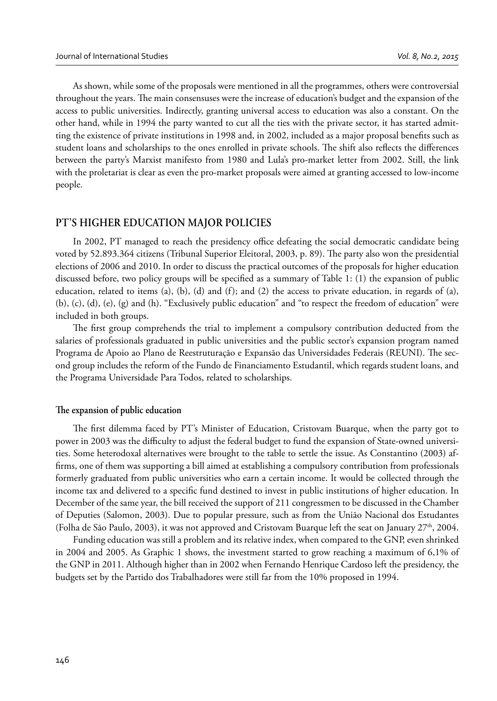As shown, while some of the proposals were mentioned in all the programmes, others were controversial throughout the years. The main consensuses were the increase of education's budget and the expansion of the access to public universities. Indirectly, granting universal access to education was also a constant. On the other hand, while in 1994 the party wanted to cut all the ties with the private sector, it has started admitting the existence of private institutions in 1998 and, in 2002, included as a major proposal benefits such as student loans and scholarships to the ones enrolled in private schools. The shift also reflects the differences between the party's Marxist manifesto from 1980 and Lula's pro-market letter from 2002. Still, the link with the proletariat is clear as even the pro-market proposals were aimed at granting accessed to low-income people.

# **PT'S HIGHER EDUCATION MAJOR POLICIES**

In 2002, PT managed to reach the presidency office defeating the social democratic candidate being voted by 52.893.364 citizens (Tribunal Superior Eleitoral, 2003, p. 89). The party also won the presidential elections of 2006 and 2010. In order to discuss the practical outcomes of the proposals for higher education discussed before, two policy groups will be specified as a summary of Table 1:  $(1)$  the expansion of public education, related to items (a), (b), (d) and (f); and (2) the access to private education, in regards of (a), (b), (c), (d), (e), (g) and (h). "Exclusively public education" and "to respect the freedom of education" were included in both groups.

The first group comprehends the trial to implement a compulsory contribution deducted from the salaries of professionals graduated in public universities and the public sector's expansion program named Programa de Apoio ao Plano de Reestruturação e Expansão das Universidades Federais (REUNI). The second group includes the reform of the Fundo de Financiamento Estudantil, which regards student loans, and the Programa Universidade Para Todos, related to scholarships.

#### The expansion of public education

The first dilemma faced by PT's Minister of Education, Cristovam Buarque, when the party got to power in 2003 was the difficulty to adjust the federal budget to fund the expansion of State-owned universities. Some heterodoxal alternatives were brought to the table to settle the issue. As Constantino (2003) affirms, one of them was supporting a bill aimed at establishing a compulsory contribution from professionals formerly graduated from public universities who earn a certain income. It would be collected through the income tax and delivered to a specific fund destined to invest in public institutions of higher education. In December of the same year, the bill received the support of 211 congressmen to be discussed in the Chamber of Deputies (Salomon, 2003). Due to popular pressure, such as from the União Nacional dos Estudantes (Folha de São Paulo, 2003), it was not approved and Cristovam Buarque left the seat on January  $27<sup>th</sup>$ , 2004.

Funding education was still a problem and its relative index, when compared to the GNP, even shrinked in 2004 and 2005. As Graphic 1 shows, the investment started to grow reaching a maximum of 6,1% of the GNP in 2011. Although higher than in 2002 when Fernando Henrique Cardoso left the presidency, the budgets set by the Partido dos Trabalhadores were still far from the 10% proposed in 1994.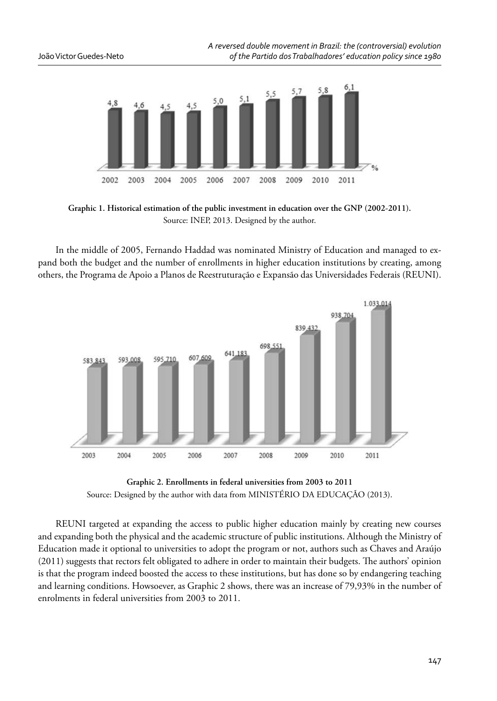

**Graphic 1. Historical estimation of the public investment in education over the GNP (2002-2011).** Source: INEP, 2013. Designed by the author.

In the middle of 2005, Fernando Haddad was nominated Ministry of Education and managed to expand both the budget and the number of enrollments in higher education institutions by creating, among others, the Programa de Apoio a Planos de Reestruturação e Expansão das Universidades Federais (REUNI).





REUNI targeted at expanding the access to public higher education mainly by creating new courses and expanding both the physical and the academic structure of public institutions. Although the Ministry of Education made it optional to universities to adopt the program or not, authors such as Chaves and Araújo (2011) suggests that rectors felt obligated to adhere in order to maintain their budgets. The authors' opinion is that the program indeed boosted the access to these institutions, but has done so by endangering teaching and learning conditions. Howsoever, as Graphic 2 shows, there was an increase of 79,93% in the number of enrolments in federal universities from 2003 to 2011.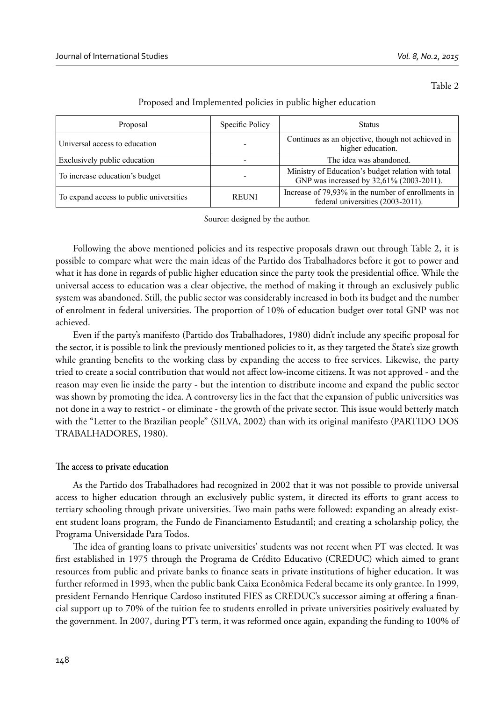Table 2

| Proposal                                | Specific Policy | <b>Status</b>                                                                                  |
|-----------------------------------------|-----------------|------------------------------------------------------------------------------------------------|
| Universal access to education           |                 | Continues as an objective, though not achieved in<br>higher education.                         |
| Exclusively public education            |                 | The idea was abandoned.                                                                        |
| To increase education's budget          |                 | Ministry of Education's budget relation with total<br>GNP was increased by 32,61% (2003-2011). |
| To expand access to public universities | <b>REUNI</b>    | Increase of 79,93% in the number of enrollments in<br>federal universities (2003-2011).        |

Proposed and Implemented policies in public higher education

Source: designed by the author.

Following the above mentioned policies and its respective proposals drawn out through Table 2, it is possible to compare what were the main ideas of the Partido dos Trabalhadores before it got to power and what it has done in regards of public higher education since the party took the presidential office. While the universal access to education was a clear objective, the method of making it through an exclusively public system was abandoned. Still, the public sector was considerably increased in both its budget and the number of enrolment in federal universities. The proportion of 10% of education budget over total GNP was not achieved.

Even if the party's manifesto (Partido dos Trabalhadores, 1980) didn't include any specific proposal for the sector, it is possible to link the previously mentioned policies to it, as they targeted the State's size growth while granting benefits to the working class by expanding the access to free services. Likewise, the party tried to create a social contribution that would not affect low-income citizens. It was not approved - and the reason may even lie inside the party - but the intention to distribute income and expand the public sector was shown by promoting the idea. A controversy lies in the fact that the expansion of public universities was not done in a way to restrict - or eliminate - the growth of the private sector. This issue would betterly match with the "Letter to the Brazilian people" (SILVA, 2002) than with its original manifesto (PARTIDO DOS TRABALHADORES, 1980).

#### The access to private education

As the Partido dos Trabalhadores had recognized in 2002 that it was not possible to provide universal access to higher education through an exclusively public system, it directed its efforts to grant access to tertiary schooling through private universities. Two main paths were followed: expanding an already existent student loans program, the Fundo de Financiamento Estudantil; and creating a scholarship policy, the Programa Universidade Para Todos.

The idea of granting loans to private universities' students was not recent when PT was elected. It was first established in 1975 through the Programa de Crédito Educativo (CREDUC) which aimed to grant resources from public and private banks to finance seats in private institutions of higher education. It was further reformed in 1993, when the public bank Caixa Econômica Federal became its only grantee. In 1999, president Fernando Henrique Cardoso instituted FIES as CREDUC's successor aiming at offering a financial support up to 70% of the tuition fee to students enrolled in private universities positively evaluated by the government. In 2007, during PT's term, it was reformed once again, expanding the funding to 100% of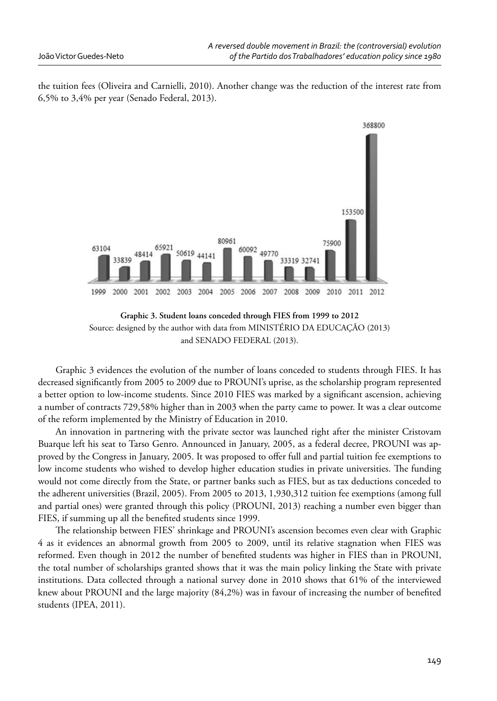the tuition fees (Oliveira and Carnielli, 2010). Another change was the reduction of the interest rate from 6,5% to 3,4% per year (Senado Federal, 2013).



**Graphic 3. Student loans conceded through FIES from 1999 to 2012** Source: designed by the author with data from MINISTÉRIO DA EDUCAÇÃO (2013) and SENADO FEDERAL (2013).

Graphic 3 evidences the evolution of the number of loans conceded to students through FIES. It has decreased significantly from 2005 to 2009 due to PROUNI's uprise, as the scholarship program represented a better option to low-income students. Since 2010 FIES was marked by a significant ascension, achieving a number of contracts 729,58% higher than in 2003 when the party came to power. It was a clear outcome of the reform implemented by the Ministry of Education in 2010.

An innovation in partnering with the private sector was launched right after the minister Cristovam Buarque left his seat to Tarso Genro. Announced in January, 2005, as a federal decree, PROUNI was approved by the Congress in January, 2005. It was proposed to offer full and partial tuition fee exemptions to low income students who wished to develop higher education studies in private universities. The funding would not come directly from the State, or partner banks such as FIES, but as tax deductions conceded to the adherent universities (Brazil, 2005). From 2005 to 2013, 1,930,312 tuition fee exemptions (among full and partial ones) were granted through this policy (PROUNI, 2013) reaching a number even bigger than FIES, if summing up all the benefited students since 1999.

The relationship between FIES' shrinkage and PROUNI's ascension becomes even clear with Graphic 4 as it evidences an abnormal growth from 2005 to 2009, until its relative stagnation when FIES was reformed. Even though in 2012 the number of benefited students was higher in FIES than in PROUNI, the total number of scholarships granted shows that it was the main policy linking the State with private institutions. Data collected through a national survey done in 2010 shows that 61% of the interviewed knew about PROUNI and the large majority  $(84,2%)$  was in favour of increasing the number of benefited students (IPEA, 2011).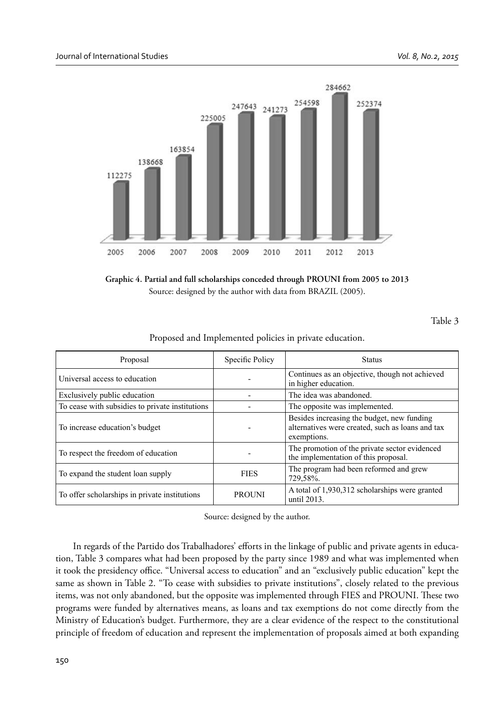

**Graphic 4. Partial and full scholarships conceded through PROUNI from 2005 to 2013** Source: designed by the author with data from BRAZIL (2005).

Table 3

| Proposed and Implemented policies in private education. |  |  |
|---------------------------------------------------------|--|--|
|---------------------------------------------------------|--|--|

| Proposal                                        | Specific Policy | <b>Status</b>                                                                                                 |
|-------------------------------------------------|-----------------|---------------------------------------------------------------------------------------------------------------|
| Universal access to education                   |                 | Continues as an objective, though not achieved<br>in higher education.                                        |
| Exclusively public education                    |                 | The idea was abandoned.                                                                                       |
| To cease with subsidies to private institutions |                 | The opposite was implemented.                                                                                 |
| To increase education's budget                  |                 | Besides increasing the budget, new funding<br>alternatives were created, such as loans and tax<br>exemptions. |
| To respect the freedom of education             |                 | The promotion of the private sector evidenced<br>the implementation of this proposal.                         |
| To expand the student loan supply               | <b>FIES</b>     | The program had been reformed and grew<br>729,58%.                                                            |
| To offer scholarships in private institutions   | <b>PROUNI</b>   | A total of 1,930,312 scholarships were granted<br>until 2013.                                                 |

Source: designed by the author.

In regards of the Partido dos Trabalhadores' efforts in the linkage of public and private agents in education, Table 3 compares what had been proposed by the party since 1989 and what was implemented when it took the presidency office. "Universal access to education" and an "exclusively public education" kept the same as shown in Table 2. "To cease with subsidies to private institutions", closely related to the previous items, was not only abandoned, but the opposite was implemented through FIES and PROUNI. These two programs were funded by alternatives means, as loans and tax exemptions do not come directly from the Ministry of Education's budget. Furthermore, they are a clear evidence of the respect to the constitutional principle of freedom of education and represent the implementation of proposals aimed at both expanding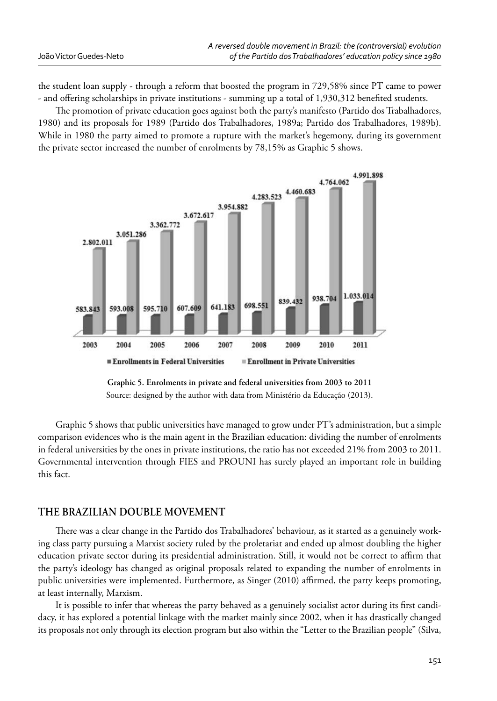|                         | A reversed double movement in Brazil: the (controversial) evolution |
|-------------------------|---------------------------------------------------------------------|
| João Victor Guedes-Neto | of the Partido dos Trabalhadores' education policy since 1980       |

the student loan supply - through a reform that boosted the program in 729,58% since PT came to power - and offering scholarships in private institutions - summing up a total of 1,930,312 benefited students.

The promotion of private education goes against both the party's manifesto (Partido dos Trabalhadores, 1980) and its proposals for 1989 (Partido dos Trabalhadores, 1989a; Partido dos Trabalhadores, 1989b). While in 1980 the party aimed to promote a rupture with the market's hegemony, during its government the private sector increased the number of enrolments by 78,15% as Graphic 5 shows.



**Graphic 5. Enrolments in private and federal universities from 2003 to 2011** Source: designed by the author with data from Ministério da Educação (2013).

Graphic 5 shows that public universities have managed to grow under PT's administration, but a simple comparison evidences who is the main agent in the Brazilian education: dividing the number of enrolments in federal universities by the ones in private institutions, the ratio has not exceeded 21% from 2003 to 2011. Governmental intervention through FIES and PROUNI has surely played an important role in building this fact.

# **THE BRAZILIAN DOUBLE MOVEMENT**

There was a clear change in the Partido dos Trabalhadores' behaviour, as it started as a genuinely working class party pursuing a Marxist society ruled by the proletariat and ended up almost doubling the higher education private sector during its presidential administration. Still, it would not be correct to affirm that the party's ideology has changed as original proposals related to expanding the number of enrolments in public universities were implemented. Furthermore, as Singer (2010) affirmed, the party keeps promoting, at least internally, Marxism.

It is possible to infer that whereas the party behaved as a genuinely socialist actor during its first candidacy, it has explored a potential linkage with the market mainly since 2002, when it has drastically changed its proposals not only through its election program but also within the "Letter to the Brazilian people" (Silva,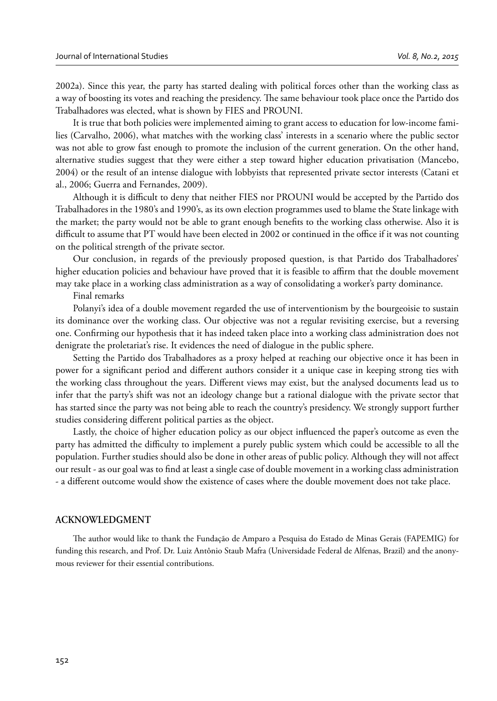2002a). Since this year, the party has started dealing with political forces other than the working class as a way of boosting its votes and reaching the presidency. The same behaviour took place once the Partido dos Trabalhadores was elected, what is shown by FIES and PROUNI.

It is true that both policies were implemented aiming to grant access to education for low-income families (Carvalho, 2006), what matches with the working class' interests in a scenario where the public sector was not able to grow fast enough to promote the inclusion of the current generation. On the other hand, alternative studies suggest that they were either a step toward higher education privatisation (Mancebo, 2004) or the result of an intense dialogue with lobbyists that represented private sector interests (Catani et al., 2006; Guerra and Fernandes, 2009).

Although it is difficult to deny that neither FIES nor PROUNI would be accepted by the Partido dos Trabalhadores in the 1980's and 1990's, as its own election programmes used to blame the State linkage with the market; the party would not be able to grant enough benefits to the working class otherwise. Also it is difficult to assume that PT would have been elected in 2002 or continued in the office if it was not counting on the political strength of the private sector.

Our conclusion, in regards of the previously proposed question, is that Partido dos Trabalhadores' higher education policies and behaviour have proved that it is feasible to affirm that the double movement may take place in a working class administration as a way of consolidating a worker's party dominance.

Final remarks

Polanyi's idea of a double movement regarded the use of interventionism by the bourgeoisie to sustain its dominance over the working class. Our objective was not a regular revisiting exercise, but a reversing one. Confirming our hypothesis that it has indeed taken place into a working class administration does not denigrate the proletariat's rise. It evidences the need of dialogue in the public sphere.

Setting the Partido dos Trabalhadores as a proxy helped at reaching our objective once it has been in power for a significant period and different authors consider it a unique case in keeping strong ties with the working class throughout the years. Different views may exist, but the analysed documents lead us to infer that the party's shift was not an ideology change but a rational dialogue with the private sector that has started since the party was not being able to reach the country's presidency. We strongly support further studies considering different political parties as the object.

Lastly, the choice of higher education policy as our object influenced the paper's outcome as even the party has admitted the difficulty to implement a purely public system which could be accessible to all the population. Further studies should also be done in other areas of public policy. Although they will not affect our result - as our goal was to find at least a single case of double movement in a working class administration - a different outcome would show the existence of cases where the double movement does not take place.

# **ACKNOWLEDGMENT**

The author would like to thank the Fundação de Amparo a Pesquisa do Estado de Minas Gerais (FAPEMIG) for funding this research, and Prof. Dr. Luiz Antônio Staub Mafra (Universidade Federal de Alfenas, Brazil) and the anonymous reviewer for their essential contributions.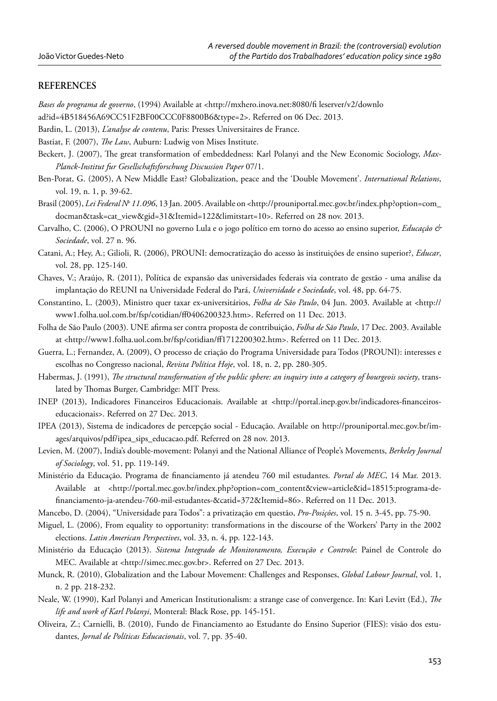# **REFERENCES**

*Bases do programa de governo*, (1994) Available at <http://mxhero.inova.net:8080/fi leserver/v2/downlo

ad?id=4B518456A69CC51F2BF00CCC0F8800B6&type=2>. Referred on 06 Dec. 2013.

- Bardin, L. (2013), *L'analyse de contenu*, Paris: Presses Universitaires de France.
- Bastiat, F. (2007), *The Law*, Auburn: Ludwig von Mises Institute.
- Beckert, J. (2007), The great transformation of embeddedness: Karl Polanyi and the New Economic Sociology, Max-*Planck-Institut fur Gesellschaftsforschung Discussion Paper* 07/1.
- Ben-Porat, G. (2005), A New Middle East? Globalization, peace and the 'Double Movement'. *International Relations*, vol. 19, n. 1, p. 39-62.
- Brasil (2005), *Lei Federal No 11.096*, 13 Jan. 2005. Available on <http://prouniportal.mec.gov.br/index.php?option=com\_ docman&task=cat\_view&gid=31&Itemid=122&limitstart=10>. Referred on 28 nov. 2013.
- Carvalho, C. (2006), O PROUNI no governo Lula e o jogo político em torno do acesso ao ensino superior, *Educação & Sociedade*, vol. 27 n. 96.
- Catani, A.; Hey, A.; Gilioli, R. (2006), PROUNI: democratização do acesso às instituições de ensino superior?, *Educar*, vol. 28, pp. 125-140.
- Chaves, V.; Araújo, R. (2011), Política de expansão das universidades federais via contrato de gestão uma análise da implantação do REUNI na Universidade Federal do Pará, *Universidade e Sociedade*, vol. 48, pp. 64-75.
- Constantino, L. (2003), Ministro quer taxar ex-universitários, *Folha de São Paulo*, 04 Jun. 2003. Available at <http:// www1.folha.uol.com.br/fsp/cotidian/ff0406200323.htm>. Referred on 11 Dec. 2013.
- Folha de São Paulo (2003). UNE afirma ser contra proposta de contribuição, Folha de São Paulo, 17 Dec. 2003. Available at <http://www1.folha.uol.com.br/fsp/cotidian/ff 1712200302.htm>. Referred on 11 Dec. 2013.
- Guerra, L.; Fernandez, A. (2009), O processo de criação do Programa Universidade para Todos (PROUNI): interesses e escolhas no Congresso nacional, *Revista Política Hoje*, vol. 18, n. 2, pp. 280-305.
- Habermas, J. (1991), *The structural transformation of the public sphere: an inquiry into a category of bourgeois society*, translated by Thomas Burger, Cambridge: MIT Press.
- INEP (2013), Indicadores Financeiros Educacionais. Available at <http://portal.inep.gov.br/indicadores-financeiroseducacionais>. Referred on 27 Dec. 2013.
- IPEA (2013), Sistema de indicadores de percepção social Educação. Available on http://prouniportal.mec.gov.br/images/arquivos/pdf/ipea\_sips\_educacao.pdf. Referred on 28 nov. 2013.
- Levien, M. (2007), India's double-movement: Polanyi and the National Alliance of People's Movements, *Berkeley Journal of Sociology*, vol. 51, pp. 119-149.
- Ministério da Educação. Programa de financiamento já atendeu 760 mil estudantes. *Portal do MEC*, 14 Mar. 2013. Available at <http://portal.mec.gov.br/index.php?option=com\_content&view=article&id=18515:programa-defi nanciamento-ja-atendeu-760-mil-estudantes-&catid=372&Itemid=86>. Referred on 11 Dec. 2013.
- Mancebo, D. (2004), "Universidade para Todos": a privatização em questão, *Pro-Posições*, vol. 15 n. 3-45, pp. 75-90.
- Miguel, L. (2006), From equality to opportunity: transformations in the discourse of the Workers' Party in the 2002 elections. *Latin American Perspectives*, vol. 33, n. 4, pp. 122-143.
- Ministério da Educação (2013). *Sistema Integrado de Monitoramento, Execução e Controle*: Painel de Controle do MEC. Available at <http://simec.mec.gov.br>. Referred on 27 Dec. 2013.
- Munck, R. (2010), Globalization and the Labour Movement: Challenges and Responses, *Global Labour Journal*, vol. 1, n. 2 pp. 218-232.
- Neale, W. (1990), Karl Polanyi and American Institutionalism: a strange case of convergence. In: Kari Levitt (Ed.), *The life and work of Karl Polanyi*, Monteral: Black Rose, pp. 145-151.
- Oliveira, Z.; Carnielli, B. (2010), Fundo de Financiamento ao Estudante do Ensino Superior (FIES): visão dos estudantes, *Jornal de Políticas Educacionais*, vol. 7, pp. 35-40.